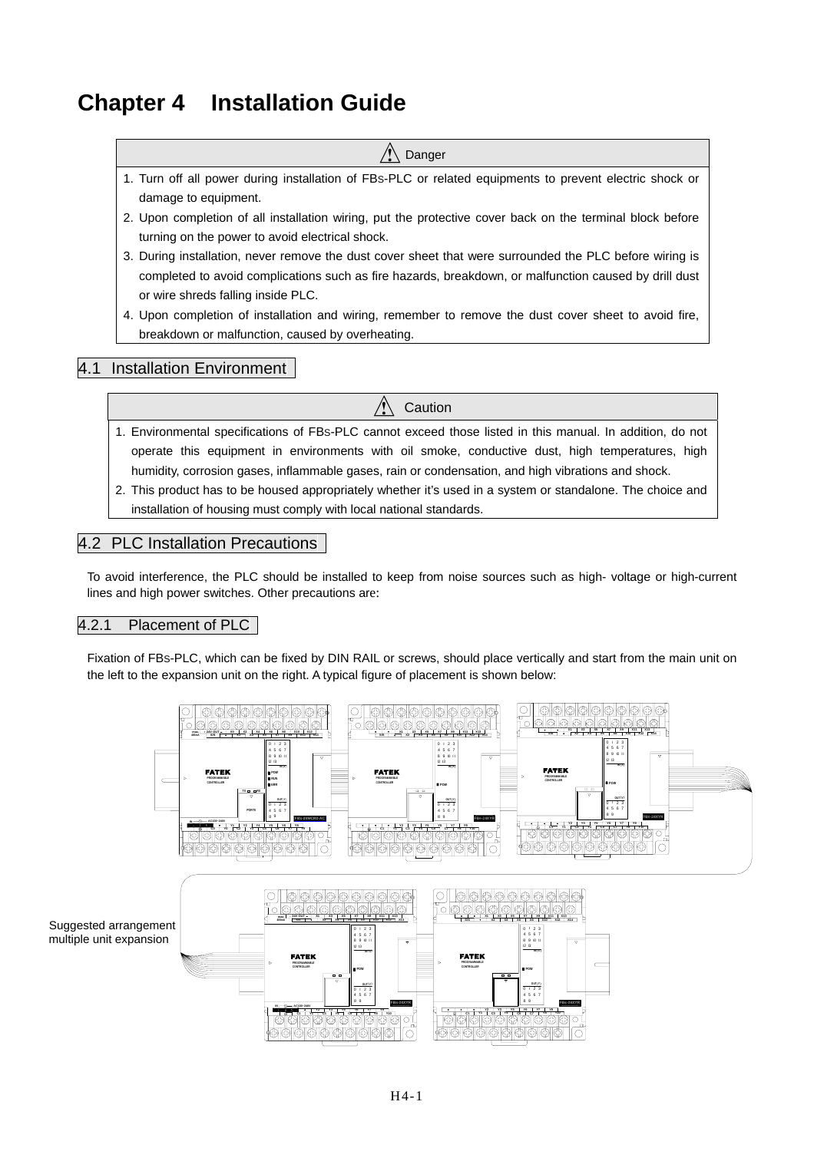# **Chapter 4 Installation Guide**

#### Danger

- 1. Turn off all power during installation of FBS-PLC or related equipments to prevent electric shock or damage to equipment.
- 2. Upon completion of all installation wiring, put the protective cover back on the terminal block before turning on the power to avoid electrical shock.
- 3. During installation, never remove the dust cover sheet that were surrounded the PLC before wiring is completed to avoid complications such as fire hazards, breakdown, or malfunction caused by drill dust or wire shreds falling inside PLC.
- 4. Upon completion of installation and wiring, remember to remove the dust cover sheet to avoid fire, breakdown or malfunction, caused by overheating.

## 4.1 Installation Environment

1. Environmental specifications of FBS-PLC cannot exceed those listed in this manual. In addition, do not operate this equipment in environments with oil smoke, conductive dust, high temperatures, high humidity, corrosion gases, inflammable gases, rain or condensation, and high vibrations and shock.

Caution

2. This product has to be housed appropriately whether it's used in a system or standalone. The choice and installation of housing must comply with local national standards.

#### 4.2 PLC Installation Precautions

To avoid interference, the PLC should be installed to keep from noise sources such as high- voltage or high-current lines and high power switches. Other precautions are:

#### 4.2.1 Placement of PLC

Fixation of FBS-PLC, which can be fixed by DIN RAIL or screws, should place vertically and start from the main unit on the left to the expansion unit on the right. A typical figure of placement is shown below:

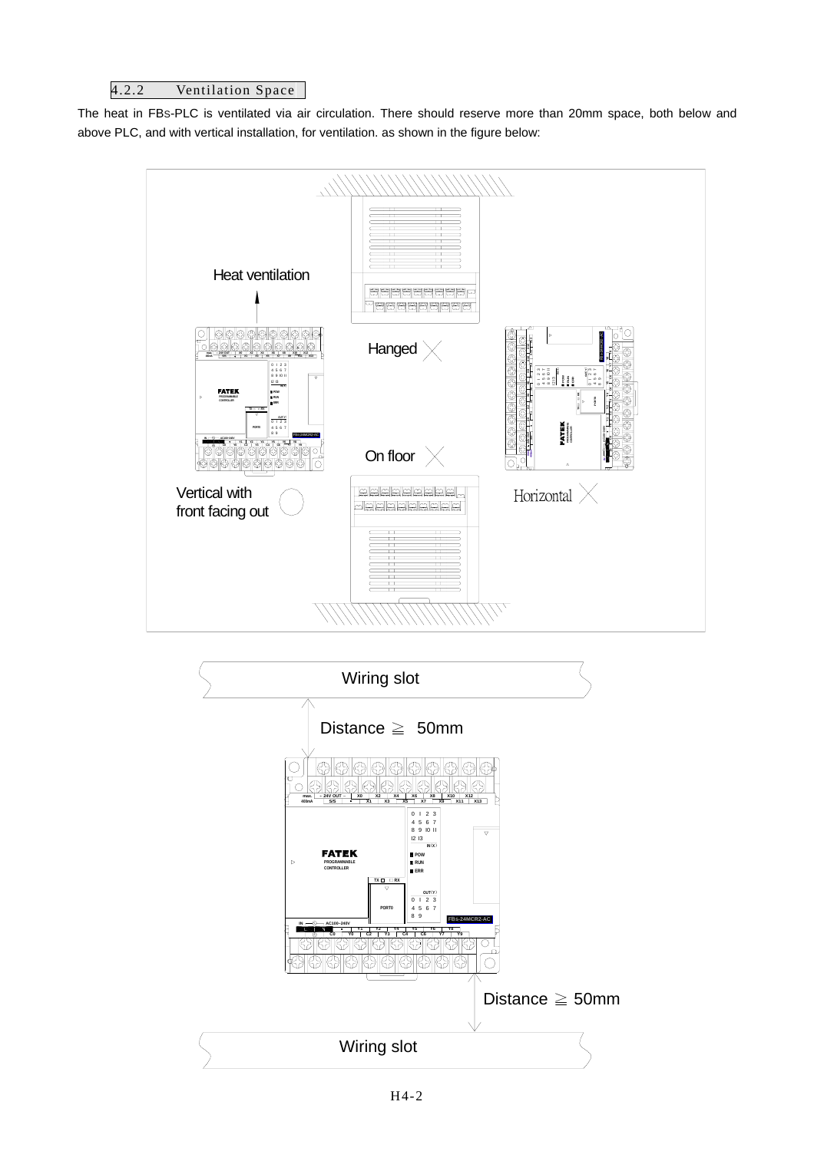#### 4.2.2 Ventilation Space

The heat in FBS-PLC is ventilated via air circulation. There should reserve more than 20mm space, both below and above PLC, and with vertical installation, for ventilation. as shown in the figure below:



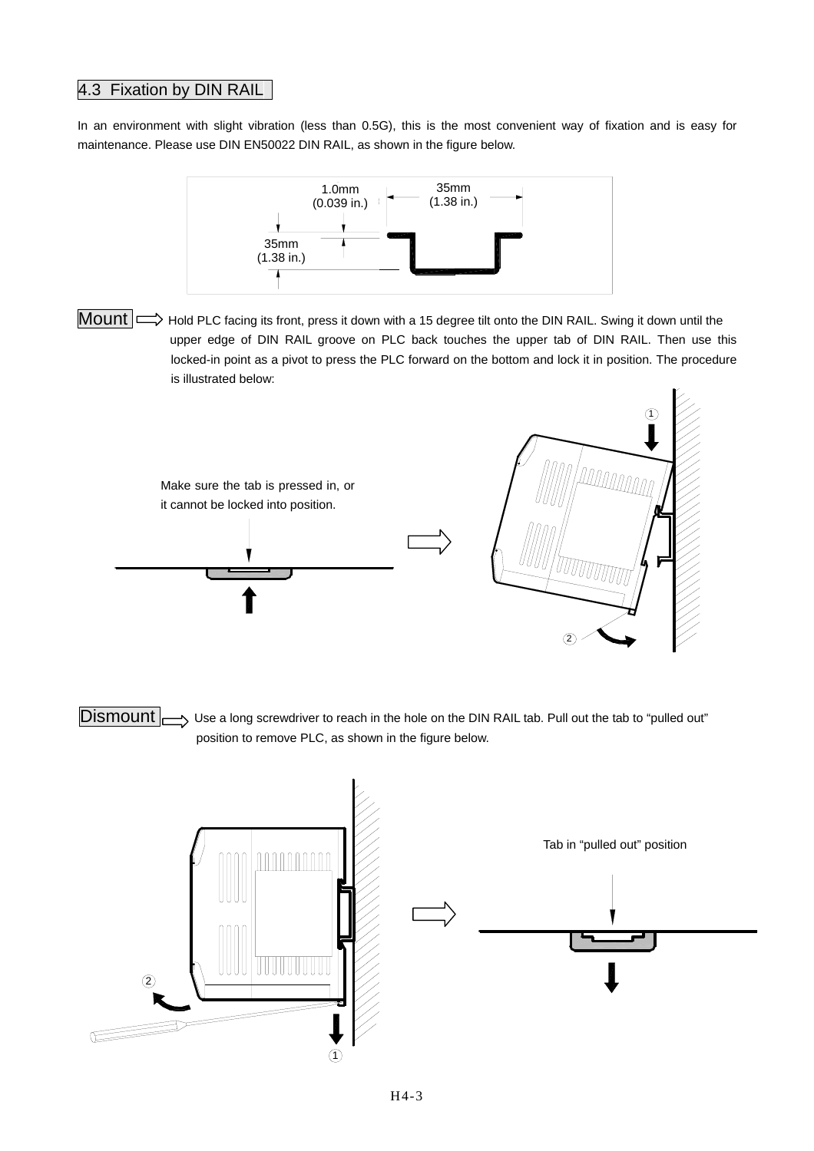## 4.3 Fixation by DIN RAIL

In an environment with slight vibration (less than 0.5G), this is the most convenient way of fixation and is easy for maintenance. Please use DIN EN50022 DIN RAIL, as shown in the figure below.



Mount  $\implies$  Hold PLC facing its front, press it down with a 15 degree tilt onto the DIN RAIL. Swing it down until the upper edge of DIN RAIL groove on PLC back touches the upper tab of DIN RAIL. Then use this locked-in point as a pivot to press the PLC forward on the bottom and lock it in position. The procedure is illustrated below:



 $\Box$ Bismount  $\Box$  Use a long screwdriver to reach in the hole on the DIN RAIL tab. Pull out the tab to "pulled out" position to remove PLC, as shown in the figure below.

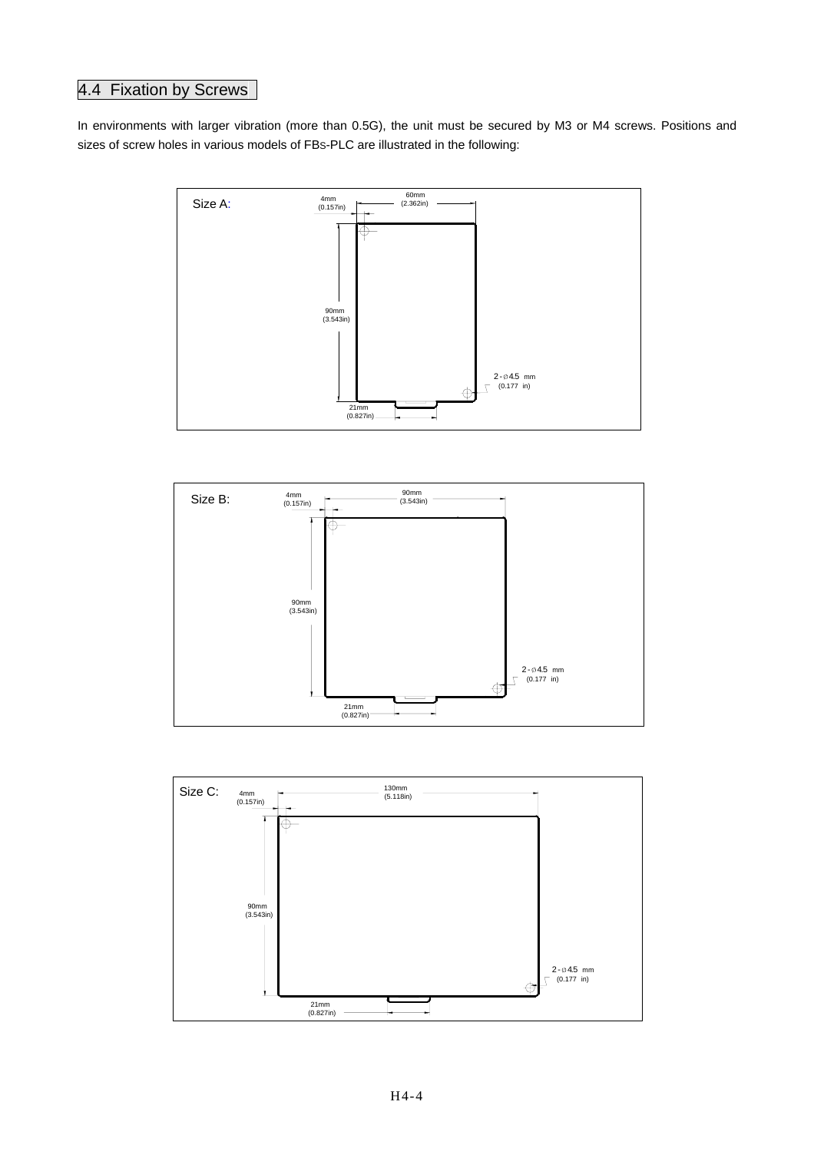## 4.4 Fixation by Screws

In environments with larger vibration (more than 0.5G), the unit must be secured by M3 or M4 screws. Positions and sizes of screw holes in various models of FBS-PLC are illustrated in the following:





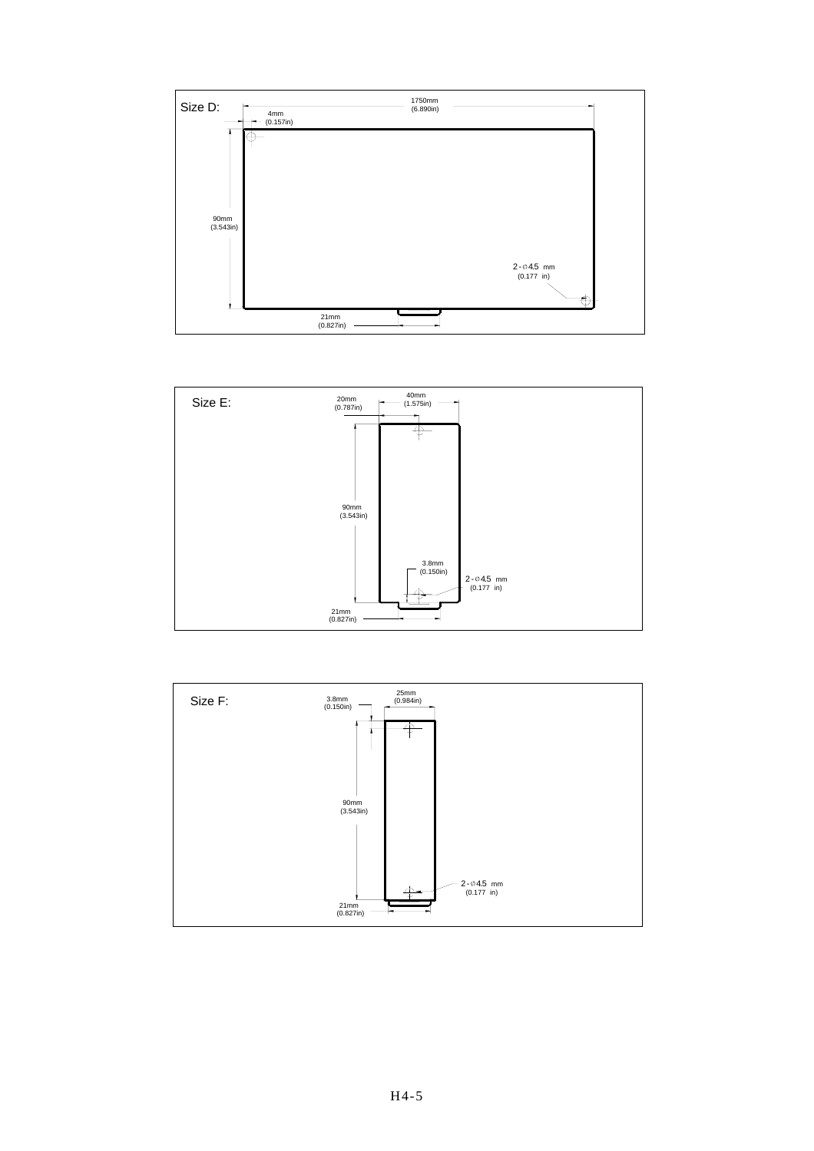